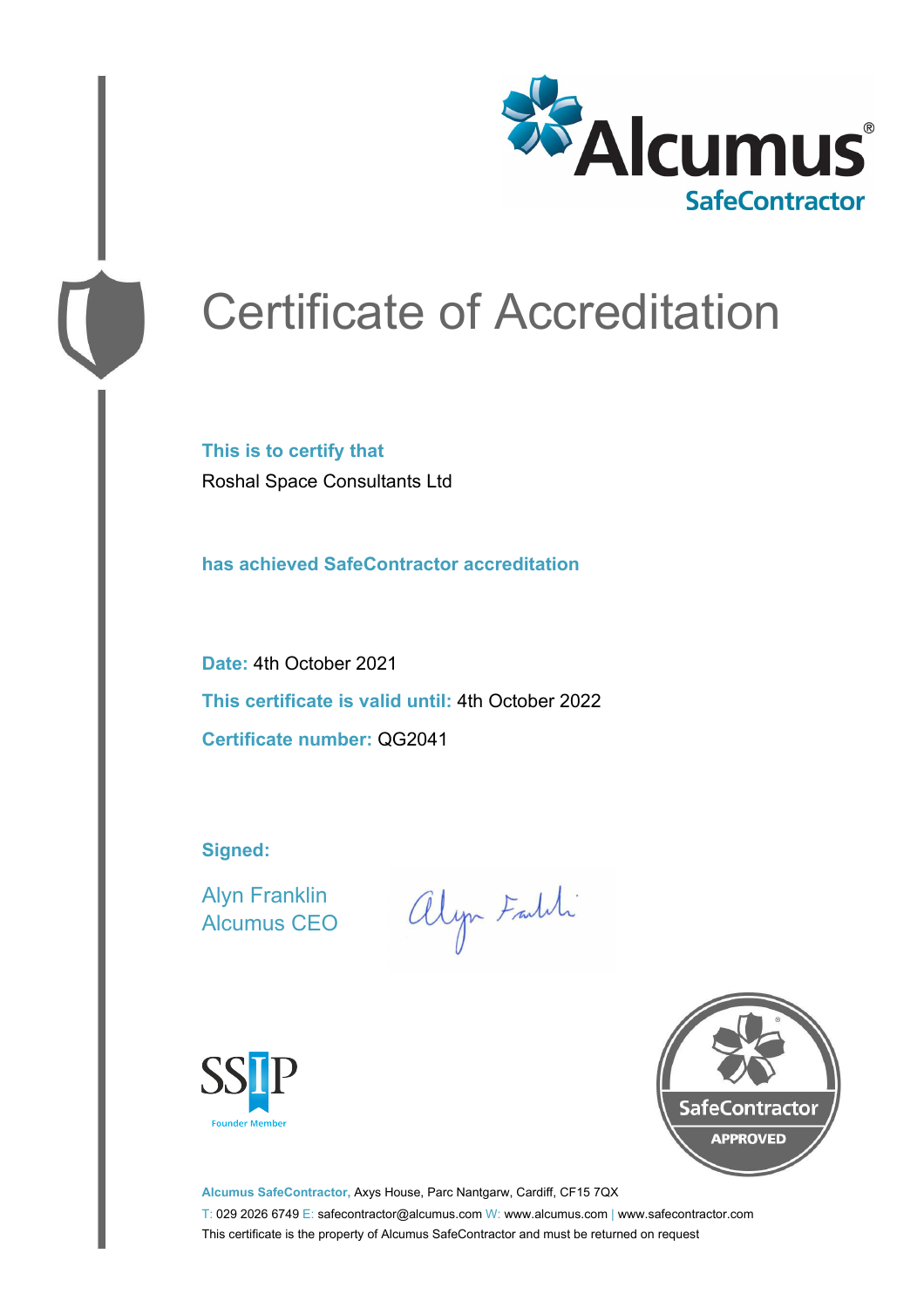

# Certificate of Accreditation

**This is to certify that** Roshal Space Consultants Ltd

**has achieved SafeContractor accreditation**

**Date:** 4th October 2021 **This certificate is valid until:** 4th October 2022 **Certificate number:** QG2041

**Signed:**

Alyn Franklin Alcumus CEO

alyn Faith





**Alcumus SafeContractor,** Axys House, Parc Nantgarw, Cardiff, CF15 7QX T: 029 2026 6749 E: safecontractor@alcumus.com W: www.alcumus.com | www.safecontractor.com This certificate is the property of Alcumus SafeContractor and must be returned on request